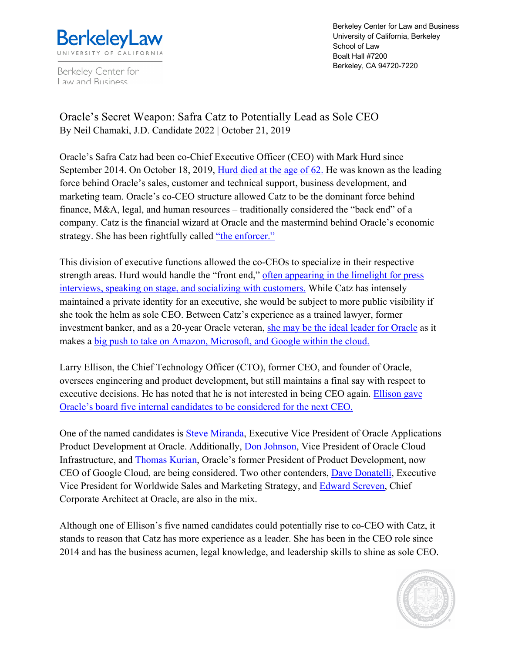

Berkeley Center for Law and Business

Berkeley Center for Law and Business University of California, Berkeley School of Law Boalt Hall #7200 Berkeley, CA 94720-7220

Oracle's Secret Weapon: Safra Catz to Potentially Lead as Sole CEO By Neil Chamaki, J.D. Candidate 2022 | October 21, 2019

Oracle's Safra Catz had been co-Chief Executive Officer (CEO) with Mark Hurd since September 2014. On October 18, 2019, Hurd died at the age of 62. He was known as the leading force behind Oracle's sales, customer and technical support, business development, and marketing team. Oracle's co-CEO structure allowed Catz to be the dominant force behind finance, M&A, legal, and human resources – traditionally considered the "back end" of a company. Catz is the financial wizard at Oracle and the mastermind behind Oracle's economic strategy. She has been rightfully called "the enforcer."

This division of executive functions allowed the co-CEOs to specialize in their respective strength areas. Hurd would handle the "front end," often appearing in the limelight for press interviews, speaking on stage, and socializing with customers. While Catz has intensely maintained a private identity for an executive, she would be subject to more public visibility if she took the helm as sole CEO. Between Catz's experience as a trained lawyer, former investment banker, and as a 20-year Oracle veteran, she may be the ideal leader for Oracle as it makes a big push to take on Amazon, Microsoft, and Google within the cloud.

Larry Ellison, the Chief Technology Officer (CTO), former CEO, and founder of Oracle, oversees engineering and product development, but still maintains a final say with respect to executive decisions. He has noted that he is not interested in being CEO again. Ellison gave Oracle's board five internal candidates to be considered for the next CEO.

One of the named candidates is **Steve Miranda**, Executive Vice President of Oracle Applications Product Development at Oracle. Additionally, Don Johnson, Vice President of Oracle Cloud Infrastructure, and Thomas Kurian, Oracle's former President of Product Development, now CEO of Google Cloud, are being considered. Two other contenders, Dave Donatelli, Executive Vice President for Worldwide Sales and Marketing Strategy, and Edward Screven, Chief Corporate Architect at Oracle, are also in the mix.

Although one of Ellison's five named candidates could potentially rise to co-CEO with Catz, it stands to reason that Catz has more experience as a leader. She has been in the CEO role since 2014 and has the business acumen, legal knowledge, and leadership skills to shine as sole CEO.